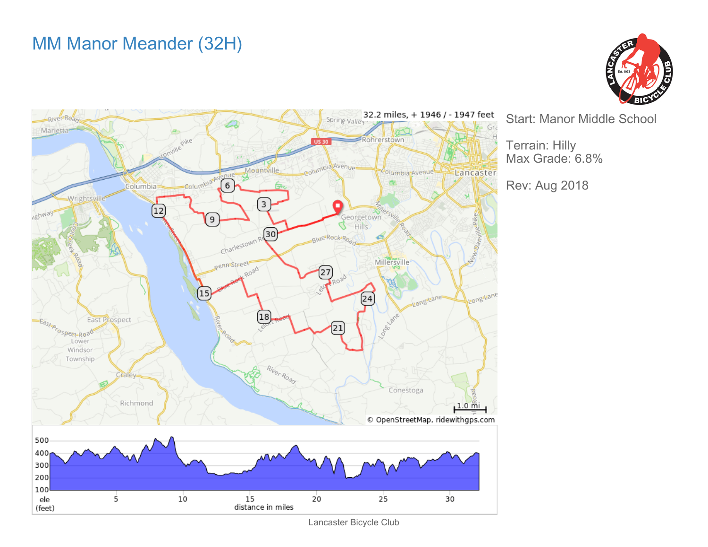## MM Manor Meander (32H)





Start: Manor Middle School

Terrain: Hilly Max Grade: 6.8%

Rev: Aug 2018